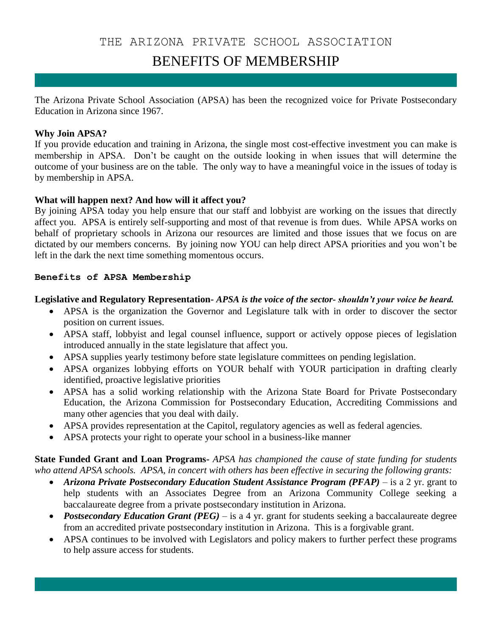### THE ARIZONA PRIVATE SCHOOL ASSOCIATION

## BENEFITS OF MEMBERSHIP

The Arizona Private School Association (APSA) has been the recognized voice for Private Postsecondary Education in Arizona since 1967.

#### **Why Join APSA?**

If you provide education and training in Arizona, the single most cost-effective investment you can make is membership in APSA. Don't be caught on the outside looking in when issues that will determine the outcome of your business are on the table. The only way to have a meaningful voice in the issues of today is by membership in APSA.

#### **What will happen next? And how will it affect you?**

By joining APSA today you help ensure that our staff and lobbyist are working on the issues that directly affect you. APSA is entirely self-supporting and most of that revenue is from dues. While APSA works on behalf of proprietary schools in Arizona our resources are limited and those issues that we focus on are dictated by our members concerns. By joining now YOU can help direct APSA priorities and you won't be left in the dark the next time something momentous occurs.

#### **Benefits of APSA Membership**

#### **Legislative and Regulatory Representation-** *APSA is the voice of the sector- shouldn't your voice be heard.*

- APSA is the organization the Governor and Legislature talk with in order to discover the sector position on current issues.
- APSA staff, lobbyist and legal counsel influence, support or actively oppose pieces of legislation introduced annually in the state legislature that affect you.
- APSA supplies yearly testimony before state legislature committees on pending legislation.
- APSA organizes lobbying efforts on YOUR behalf with YOUR participation in drafting clearly identified, proactive legislative priorities
- APSA has a solid working relationship with the Arizona State Board for Private Postsecondary Education, the Arizona Commission for Postsecondary Education, Accrediting Commissions and many other agencies that you deal with daily.
- APSA provides representation at the Capitol, regulatory agencies as well as federal agencies.
- APSA protects your right to operate your school in a business-like manner

**State Funded Grant and Loan Programs-** *APSA has championed the cause of state funding for students who attend APSA schools. APSA, in concert with others has been effective in securing the following grants:*

- *Arizona Private Postsecondary Education Student Assistance Program (PFAP)* is a 2 yr. grant to help students with an Associates Degree from an Arizona Community College seeking a baccalaureate degree from a private postsecondary institution in Arizona.
- *Postsecondary Education Grant (PEG)* is a 4 yr. grant for students seeking a baccalaureate degree from an accredited private postsecondary institution in Arizona. This is a forgivable grant.
- APSA continues to be involved with Legislators and policy makers to further perfect these programs to help assure access for students.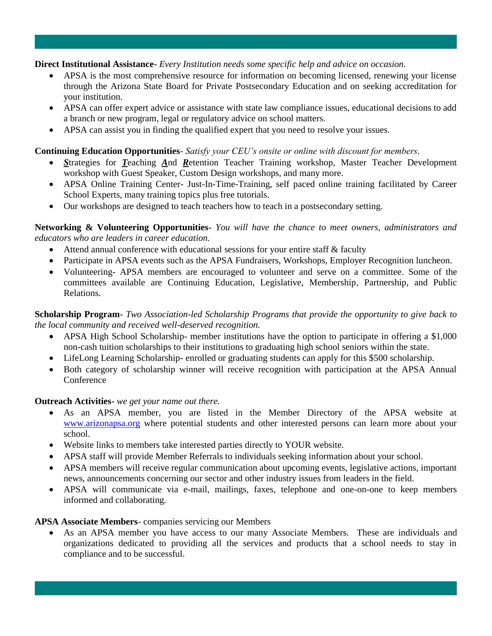#### **Direct Institutional Assistance-** *Every Institution needs some specific help and advice on occasion.*

- APSA is the most comprehensive resource for information on becoming licensed, renewing your license through the Arizona State Board for Private Postsecondary Education and on seeking accreditation for your institution.
- APSA can offer expert advice or assistance with state law compliance issues, educational decisions to add a branch or new program, legal or regulatory advice on school matters.
- APSA can assist you in finding the qualified expert that you need to resolve your issues.

#### **Continuing Education Opportunities**- *Satisfy your CEU's onsite or online with discount for members.*

- *S*trategies for *T*eaching *A*nd *R*etention Teacher Training workshop, Master Teacher Development workshop with Guest Speaker, Custom Design workshops, and many more.
- APSA Online Training Center- Just-In-Time-Training, self paced online training facilitated by Career School Experts, many training topics plus free tutorials.
- Our workshops are designed to teach teachers how to teach in a postsecondary setting.

**Networking & Volunteering Opportunities**- *You will have the chance to meet owners, administrators and educators who are leaders in career education.*

- Attend annual conference with educational sessions for your entire staff & faculty
- Participate in APSA events such as the APSA Fundraisers, Workshops, Employer Recognition luncheon.
- Volunteering- APSA members are encouraged to volunteer and serve on a committee. Some of the committees available are Continuing Education, Legislative, Membership, Partnership, and Public Relations.

**Scholarship Program**- *Two Association-led Scholarship Programs that provide the opportunity to give back to the local community and received well-deserved recognition.*

- APSA High School Scholarship- member institutions have the option to participate in offering a \$1,000 non-cash tuition scholarships to their institutions to graduating high school seniors within the state.
- LifeLong Learning Scholarship- enrolled or graduating students can apply for this \$500 scholarship.
- Both category of scholarship winner will receive recognition with participation at the APSA Annual Conference

#### **Outreach Activities**- *we get your name out there.*

- As an APSA member, you are listed in the Member Directory of the APSA website at [www.arizonapsa.org](http://www.arizonapsa.org/) where potential students and other interested persons can learn more about your school.
- Website links to members take interested parties directly to YOUR website.
- APSA staff will provide Member Referrals to individuals seeking information about your school.
- APSA members will receive regular communication about upcoming events, legislative actions, important news, announcements concerning our sector and other industry issues from leaders in the field.
- APSA will communicate via e-mail, mailings, faxes, telephone and one-on-one to keep members informed and collaborating.

#### **APSA Associate Members**- companies servicing our Members

 As an APSA member you have access to our many Associate Members. These are individuals and organizations dedicated to providing all the services and products that a school needs to stay in compliance and to be successful.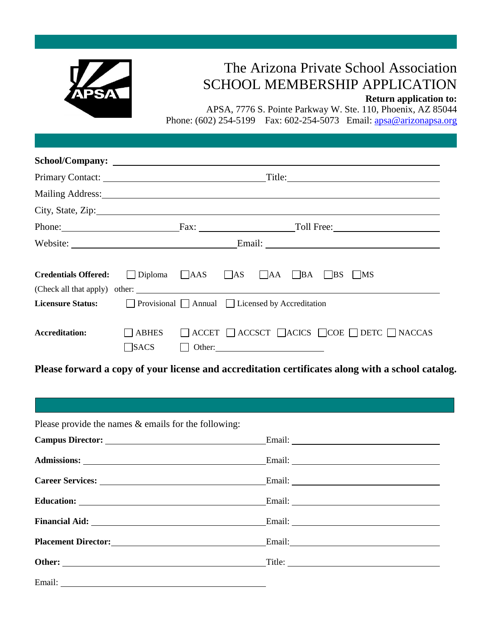

# The Arizona Private School Association SCHOOL MEMBERSHIP APPLICATION

**Return application to:**

APSA, 7776 S. Pointe Parkway W. Ste. 110, Phoenix, AZ 85044 Phone: (602) 254-5199 Fax: 602-254-5073 Email: [apsa@arizonapsa.org](mailto:apsa@arizonapsa.org)

|                                                             | Title:                                       |  |  |                                                                              |  |
|-------------------------------------------------------------|----------------------------------------------|--|--|------------------------------------------------------------------------------|--|
| Mailing Address: National Address:                          |                                              |  |  |                                                                              |  |
| City, State, Zip: 2008. Experience of the State of Table 3. |                                              |  |  |                                                                              |  |
|                                                             |                                              |  |  | Phone: Fax: Fax: Toll Free:                                                  |  |
|                                                             | Website:                                     |  |  |                                                                              |  |
| <b>Credentials Offered:</b>                                 |                                              |  |  | $\Box$ Diploma $\Box$ AAS $\Box$ AS $\Box$ AA $\Box$ BA $\Box$ BS $\Box$ MS  |  |
| <b>Licensure Status:</b>                                    | Provisional Annual Licensed by Accreditation |  |  |                                                                              |  |
| Accreditation:                                              | $\exists$ ABHES<br>$\exists$ SACS            |  |  | $\Box$ ACCET $\Box$ ACCSCT $\Box$ ACICS $\Box$ COE $\Box$ DETC $\Box$ NACCAS |  |

**Please forward a copy of your license and accreditation certificates along with a school catalog.**

| Please provide the names $\&$ emails for the following:                                                                                                                                                                        |  |
|--------------------------------------------------------------------------------------------------------------------------------------------------------------------------------------------------------------------------------|--|
|                                                                                                                                                                                                                                |  |
|                                                                                                                                                                                                                                |  |
| Career Services: Email: Email:                                                                                                                                                                                                 |  |
|                                                                                                                                                                                                                                |  |
|                                                                                                                                                                                                                                |  |
|                                                                                                                                                                                                                                |  |
|                                                                                                                                                                                                                                |  |
| Email: New York: New York: New York: New York: New York: New York: New York: New York: New York: New York: New York: New York: New York: New York: New York: New York: New York: New York: New York: New York: New York: New Y |  |
|                                                                                                                                                                                                                                |  |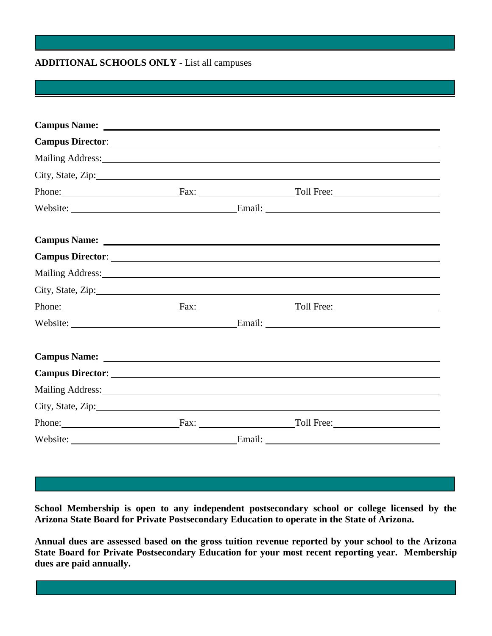#### **ADDITIONAL SCHOOLS ONLY -** List all campuses

|                                                                                                                |  | Mailing Address: 1988 and 2008 and 2008 and 2008 and 2008 and 2008 and 2008 and 2008 and 2008 and 2008 and 200 |
|----------------------------------------------------------------------------------------------------------------|--|----------------------------------------------------------------------------------------------------------------|
| City, State, Zip:                                                                                              |  |                                                                                                                |
|                                                                                                                |  | Phone: Fax: Fax: Toll Free:                                                                                    |
|                                                                                                                |  |                                                                                                                |
|                                                                                                                |  |                                                                                                                |
|                                                                                                                |  |                                                                                                                |
| Mailing Address: 1988 and 2008 and 2008 and 2008 and 2008 and 2008 and 2008 and 2008 and 2008 and 2008 and 200 |  |                                                                                                                |
| City, State, Zip:                                                                                              |  |                                                                                                                |
|                                                                                                                |  | Phone: Fax: Fax: Toll Free:                                                                                    |
|                                                                                                                |  |                                                                                                                |
|                                                                                                                |  |                                                                                                                |
|                                                                                                                |  |                                                                                                                |
|                                                                                                                |  | Mailing Address: 1988 and 2008 and 2008 and 2008 and 2008 and 2008 and 2008 and 2008 and 2008 and 2008 and 200 |
|                                                                                                                |  |                                                                                                                |
|                                                                                                                |  | Phone: Fax: Fax: Toll Free: Toll Free:                                                                         |
|                                                                                                                |  |                                                                                                                |

**School Membership is open to any independent postsecondary school or college licensed by the Arizona State Board for Private Postsecondary Education to operate in the State of Arizona.**

**Annual dues are assessed based on the gross tuition revenue reported by your school to the Arizona State Board for Private Postsecondary Education for your most recent reporting year. Membership dues are paid annually.**